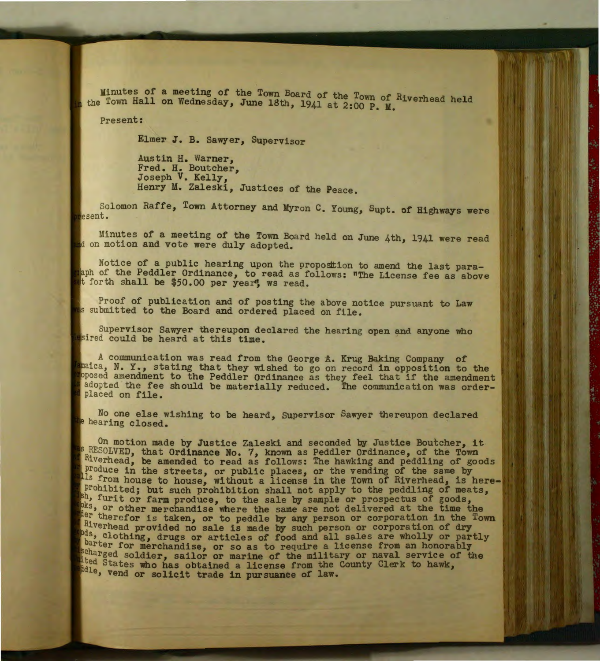Minutes of a meeting of the Town Board of the Town of Riverhead held the Town Hall on Wednesday, June 18th, 1941 at 2:00 P. M.

..

Present:

Elmer J. B. Sawyer, Supervisor

Austin H. Warner, Fred. H. Boutcher, Joseph V. Kelly, Henry M. Zaleski, Justices of the Peace.

Solomon Raffe, Tovm Attorney and Myron C. Young, Supt. of Highways were esent .

Minutes of a meeting of the Town Board held on June 4th, 1941 were read d on motion and vote were duly adopted.

Notice of a public hearing upon the proposition to amend the last paralaph of the Peddler Ordinance, to read as follows: "The License fee as above t forth shall be \$50.00 per year", ws read.

Proof of publication and of posting the above notice pursuant to Law s submitted to the Board and ordered placed on file.

Supervisor Sawyer thereupon declared the hearing open and anyone who sired could be heard at this time.

A communication was read from the George A. Krug Baking Company of maica, N. Y., stating that they wished to go on record in opposition to the oposed amendment to the Peddler Ordinance as they feel that if the amendment adopted the fee should be materially reduced. The communication was orderplaced on file.

No one else wishing to be heard, Supervisor Sawyer thereupon declared e hearing closed.

On motion made by Justice Zaleski and seconded by Justice Boutcher, it **RESOLVED**, that Ordinance No. 7, known as Peddler Ordinance, of the Town Riverhead, be amended to read as follows: The hawking and peddling of goods Produce in the streets, or public places, or the vending of the same by s from house to house, without a license in the Town of Riverhead, is hereprohibited; but such prohibition shall not apply to the peddling of meats,  $h$ , furit or farm produce, to the sale by sample or prospectus of goods,  $h$ s, or other merchandise where the same are not delivered at the time t pks, or other merchandise where the same are not delivered at the time the the term therefor is taken, or to peddle by any person or corporation in the Town Riverhead provided no sale is made by such person or corporation of dry bds, clothing, drugs or articles of food and all sales are wholly or partly barter for merchandise, or so as to require a license from an honorably scharged soldier, sailor or marine of the military or naval service of the lited States who has obtained a license from the County Clerk to hawk, dile, vend or solicit trade in pursuance of law.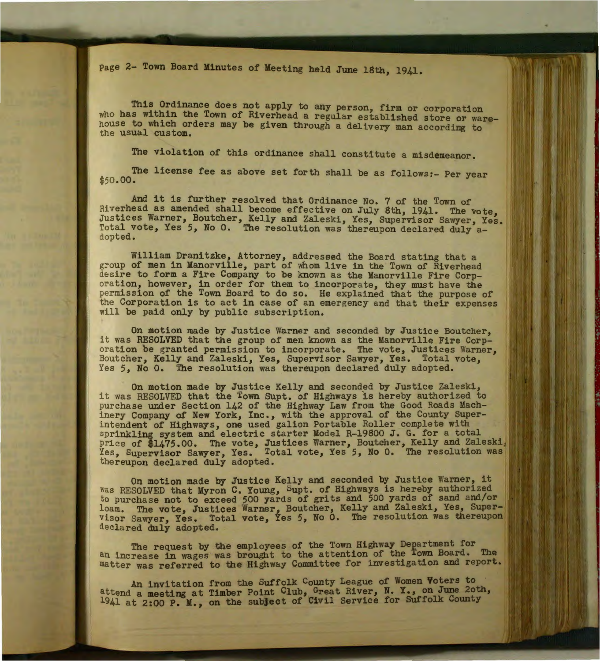Page 2- Town Board Minutes of Meeting held June 18th, 1941.

This Ordinance does not apply to any person, firm or corporation who has within the Town of Riverhead a regular established store or warehouse to wh1ch orders may be given through a delivery man according to the usual custom.

The violation of this ordinance shall constitute a misdemeanor.

The license fee as above set forth shall be as follows:- Per year \$50.00.

And it is further resolved that Ordinance No. 7 of the Town of Riverhead as amended shall become effective on July 8th, 1941. The vote, Justices Warner, Boutcher, Kelly and Zaleski, Yes, Supervisor Sawyer, Yes. Total vote, Yes 5, No 0. The resolution was thereupon declared duly adopted.

William Dranitzke, Attorney, addressed the Board stating that a group of men in Manorville, part of whom live in the Town of Riverhead desire to form a Fire Company to be known as the Manorville Fire Corporation, however, in order for them to incorporate, they must have the permission of the Town Board to do so. He explained that the purpose of the Corpora tion is to act in case of an emergency and that their expenses will be paid only by public subscription.

On motion made by Justice Warner and seconded by Justice Boutcher, it was RESOLVED that the group of men known as the Manorville Fire Corporation be granted permission to incorporate. The vote, Justices Warner, Boutcher, Kelly and Zaleski, Yes, Supervisor Sawyer, Yes. Total vote, Yes 5, No 0. The resolution was thereupon declared duly adopted.

On motion made by Justice Kelly and seconded by Justice Zaleski, it was RESOLVED that the Town Supt. of Highways is hereby authorized to purchase under Section 142 of the Highway Law from the Good Roads Machinery Company of New York, Inc., with the approval of the County Superintendent of Highways, one used galion Portable Roller complete with sprinkling system and electric starter Model R-19800 J. G. for a total price of \$1475.00. The vote, Justices Warner, Boutcher, Kelly and Zaleski. Yes, Supervisor Sawyer, Yes. Total vote, Yes 5, No 0. The resolution was the reupon declared duly adopted.

On motion made by Justice Kelly and seconded by Justice Warner, it was RESOLVED that Myron C. Young, Supt. of Highways is hereby authorized to purchase not to exceed 500 yards of grits and 500 yards of sand and/or loam. The vote, Justices Warner, Boutcher, Kelly and Zaleski, Yes, Super-<br>Visor Sawyer, Yes. Total vote, Yes 5, No 0. The resolution was thereupon visor Sawyer, Yes. Total vote, Yes 5, No 0. The resolution was thereupon declared duly adopted.

The request by the employees of the Town Highway Department for an increase in wages was brought to the attention of the Town Board. The matter was referred to the Highway Committee for investigation and report.

An invitation from the Suffolk County League of Women Voters to attend a meeting at Timber Point Club, Great River, N. Y., on June 2oth, 1941 at 2:00 P. M., on the subject of Civil Service for Suffolk County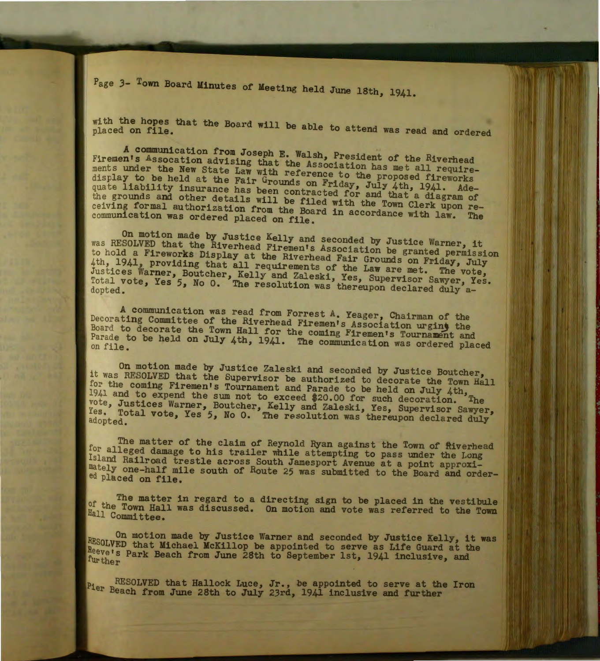Page 3- Town Board Minutes of Meeting held June 18th, 1941.

with the hopes that the Board will be able to attend was read and ordered

A communication from Joseph E. Walsh, President of the Riverhead Firemen's Assocation advising that the Association has met all requirements under the New State Law with reference to the proposed fireworks display to be held at the Fair Grounds on Friday, July 4th. 1941, Adequate liability insurance has been contracted for and that a diagram of the grounds and other details will be filed with the Town Clerk upon receiving formal authorization from the Board in accordance with law. The communication was ordered placed on file.

On motion made by Justice Kelly and seconded by Justice Warner, it was RESOLVED that the Riverhead Firemen's Association be granted permission to hold a Fireworks Display at the Riverhead Fair Grounds on Friday, July 4th, 1941, providing that all requirements of the Law are met. The vote, Justices Warner, Boutcher, Kelly and Zaleski, Yes, Supervisor Sawyer, Yes. Total vote, Yes 5, No 0. The resolution was thereupon declared duly a-<br>dopted.

A communication was read from Forrest A. Yeager, Chairman of the Decorating Committee of the Riverhead Firemen's Association urging the Board to decorate the Town Hall for the coming Firemen's Tournament and Parade to be held on July 4th, 1941. The communication was ordered placed

On motion made by Justice Zaleski and seconded by Justice Boutcher, it was RESOLVED that the Supervisor be authorized to decorate the Town Hall for the coming Firemen's Tournament and Parade to be held on July 4th. 1941 and to expend the sum not to exceed \$20.00 for such decoration. The vote, Justices Warner, Boutcher, Kelly and Zaleski, Yes, Supervisor Sawyer, Yes. Total vote, Yes *5,* No 0. The resolution was thereupon declared duly adopted .

The matter of the claim of Reynold Ryan against the Town of fiverhead for alleged damage to his trailer while attempting to pass under the Long Island Railroad trestle across South Jamesport Avenue at a point approxi-<br>mately one-half mile south of Route 25 was submitted to the Board and order-<br>ed placed on file.

The matter in regard to a directing sign to be placed in the vestibule of the Town Hall was discussed. On motion and vote was referred to the Town Hall Committee.

On motion made by Justice Warner and seconded by Justice Kelly, it was RESOLVED that Michael McKillop be appointed to serve as Life Guard at the Reeve's Park Beach from June 28th to September 1st, 1941 inclusive, and further

RESOLVED that Hallock Luce, Jr., be appointed to serve at the Iron Pier Beach from June 28th to July 23rd, 1941 inclusive and further